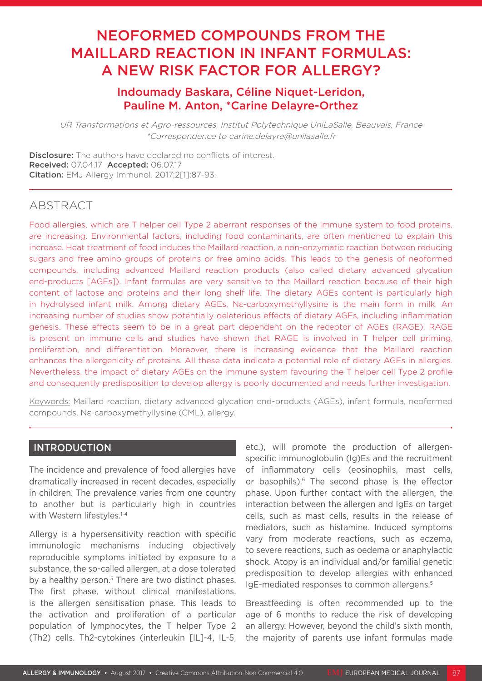# NEOFORMED COMPOUNDS FROM THE MAILLARD REACTION IN INFANT FORMULAS: A NEW RISK FACTOR FOR ALLERGY?

# Indoumady Baskara, Céline Niquet-Leridon, Pauline M. Anton, \*Carine Delayre-Orthez

UR Transformations et Agro-ressources, Institut Polytechnique UniLaSalle, Beauvais, France \*Correspondence to carine.delayre@unilasalle.fr

Disclosure: The authors have declared no conflicts of interest. Received: 07.04.17 Accepted: 06.07.17 Citation: EMJ Allergy Immunol. 2017;2[1]:87-93.

# ABSTRACT

Food allergies, which are T helper cell Type 2 aberrant responses of the immune system to food proteins, are increasing. Environmental factors, including food contaminants, are often mentioned to explain this increase. Heat treatment of food induces the Maillard reaction, a non-enzymatic reaction between reducing sugars and free amino groups of proteins or free amino acids. This leads to the genesis of neoformed compounds, including advanced Maillard reaction products (also called dietary advanced glycation end-products [AGEs]). Infant formulas are very sensitive to the Maillard reaction because of their high content of lactose and proteins and their long shelf life. The dietary AGEs content is particularly high in hydrolysed infant milk. Among dietary AGEs, Nε-carboxymethyllysine is the main form in milk. An increasing number of studies show potentially deleterious effects of dietary AGEs, including inflammation genesis. These effects seem to be in a great part dependent on the receptor of AGEs (RAGE). RAGE is present on immune cells and studies have shown that RAGE is involved in T helper cell priming, proliferation, and differentiation. Moreover, there is increasing evidence that the Maillard reaction enhances the allergenicity of proteins. All these data indicate a potential role of dietary AGEs in allergies. Nevertheless, the impact of dietary AGEs on the immune system favouring the T helper cell Type 2 profile and consequently predisposition to develop allergy is poorly documented and needs further investigation.

Keywords: Maillard reaction, dietary advanced glycation end-products (AGEs), infant formula, neoformed compounds, Nε-carboxymethyllysine (CML), allergy.

## INTRODUCTION

The incidence and prevalence of food allergies have dramatically increased in recent decades, especially in children. The prevalence varies from one country to another but is particularly high in countries with Western lifestyles.<sup>1-4</sup>

Allergy is a hypersensitivity reaction with specific immunologic mechanisms inducing objectively reproducible symptoms initiated by exposure to a substance, the so-called allergen, at a dose tolerated by a healthy person.<sup>5</sup> There are two distinct phases. The first phase, without clinical manifestations, is the allergen sensitisation phase. This leads to the activation and proliferation of a particular population of lymphocytes, the T helper Type 2 (Th2) cells. Th2-cytokines (interleukin [IL]-4, IL-5, etc.), will promote the production of allergenspecific immunoglobulin (Ig)Es and the recruitment of inflammatory cells (eosinophils, mast cells, or basophils).<sup>6</sup> The second phase is the effector phase. Upon further contact with the allergen, the interaction between the allergen and IgEs on target cells, such as mast cells, results in the release of mediators, such as histamine. Induced symptoms vary from moderate reactions, such as eczema, to severe reactions, such as oedema or anaphylactic shock. Atopy is an individual and/or familial genetic predisposition to develop allergies with enhanced IgE-mediated responses to common allergens.<sup>5</sup>

Breastfeeding is often recommended up to the age of 6 months to reduce the risk of developing an allergy. However, beyond the child's sixth month, the majority of parents use infant formulas made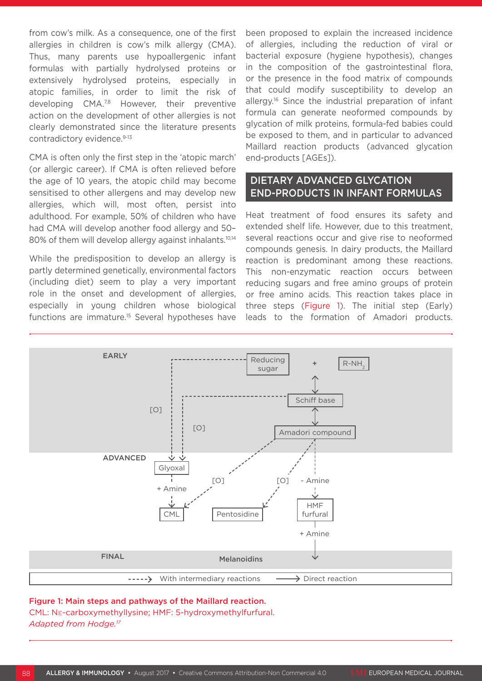from cow's milk. As a consequence, one of the first allergies in children is cow's milk allergy (CMA). Thus, many parents use hypoallergenic infant formulas with partially hydrolysed proteins or extensively hydrolysed proteins, especially in atopic families, in order to limit the risk of developing CMA.<sup>7,8</sup> However, their preventive action on the development of other allergies is not clearly demonstrated since the literature presents contradictory evidence.<sup>9-13</sup>

CMA is often only the first step in the 'atopic march' (or allergic career). If CMA is often relieved before the age of 10 years, the atopic child may become sensitised to other allergens and may develop new allergies, which will, most often, persist into adulthood. For example, 50% of children who have had CMA will develop another food allergy and 50– 80% of them will develop allergy against inhalants.<sup>10,14</sup>

While the predisposition to develop an allergy is partly determined genetically, environmental factors (including diet) seem to play a very important role in the onset and development of allergies, especially in young children whose biological functions are immature.15 Several hypotheses have

been proposed to explain the increased incidence of allergies, including the reduction of viral or bacterial exposure (hygiene hypothesis), changes in the composition of the gastrointestinal flora, or the presence in the food matrix of compounds that could modify susceptibility to develop an allergy.<sup>16</sup> Since the industrial preparation of infant formula can generate neoformed compounds by glycation of milk proteins, formula-fed babies could be exposed to them, and in particular to advanced Maillard reaction products (advanced glycation end-products [AGEs]).

# DIETARY ADVANCED GLYCATION END-PRODUCTS IN INFANT FORMULAS

Heat treatment of food ensures its safety and extended shelf life. However, due to this treatment, several reactions occur and give rise to neoformed compounds genesis. In dairy products, the Maillard reaction is predominant among these reactions. This non-enzymatic reaction occurs between reducing sugars and free amino groups of protein or free amino acids. This reaction takes place in three steps (Figure 1). The initial step (Early) leads to the formation of Amadori products.



#### Figure 1: Main steps and pathways of the Maillard reaction.

CML: Nε-carboxymethyllysine; HMF: 5-hydroxymethylfurfural. *Adapted from Hodge.17*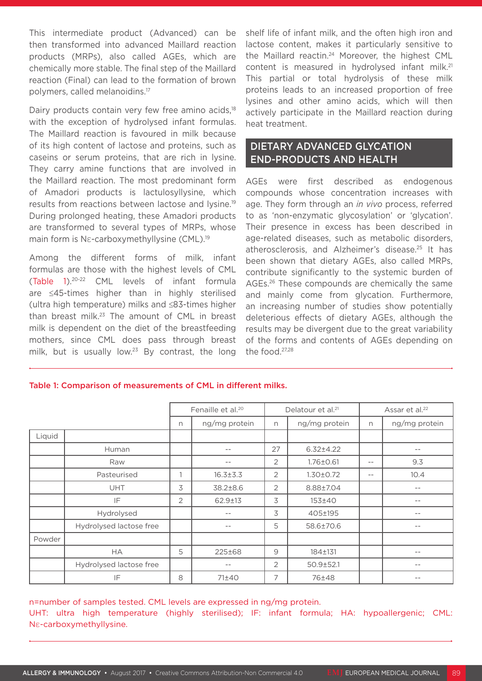This intermediate product (Advanced) can be then transformed into advanced Maillard reaction products (MRPs), also called AGEs, which are chemically more stable. The final step of the Maillard reaction (Final) can lead to the formation of brown polymers, called melanoidins.17

Dairy products contain very few free amino acids,<sup>18</sup> with the exception of hydrolysed infant formulas. The Maillard reaction is favoured in milk because of its high content of lactose and proteins, such as caseins or serum proteins, that are rich in lysine. They carry amine functions that are involved in the Maillard reaction. The most predominant form of Amadori products is lactulosyllysine, which results from reactions between lactose and lysine.19 During prolonged heating, these Amadori products are transformed to several types of MRPs, whose main form is Nε-carboxymethyllysine (CML).<sup>19</sup>

Among the different forms of milk, infant formulas are those with the highest levels of CML (Table 1).20-22 CML levels of infant formula are ≤45-times higher than in highly sterilised (ultra high temperature) milks and ≤83-times higher than breast milk.23 The amount of CML in breast milk is dependent on the diet of the breastfeeding mothers, since CML does pass through breast milk, but is usually low.<sup>23</sup> By contrast, the long

shelf life of infant milk, and the often high iron and lactose content, makes it particularly sensitive to the Maillard reactin.<sup>24</sup> Moreover, the highest CML content is measured in hydrolysed infant milk.<sup>21</sup> This partial or total hydrolysis of these milk proteins leads to an increased proportion of free lysines and other amino acids, which will then actively participate in the Maillard reaction during heat treatment.

# DIETARY ADVANCED GLYCATION END-PRODUCTS AND HEALTH

AGEs were first described as endogenous compounds whose concentration increases with age. They form through an *in vivo* process, referred to as 'non-enzymatic glycosylation' or 'glycation'. Their presence in excess has been described in age-related diseases, such as metabolic disorders, atherosclerosis, and Alzheimer's disease.25 It has been shown that dietary AGEs, also called MRPs, contribute significantly to the systemic burden of AGEs.26 These compounds are chemically the same and mainly come from glycation. Furthermore, an increasing number of studies show potentially deleterious effects of dietary AGEs, although the results may be divergent due to the great variability of the forms and contents of AGEs depending on the food.27,28

|        |                         | Fenaille et al. <sup>20</sup> |                | Delatour et al. <sup>21</sup> |                 | Assar et al. <sup>22</sup> |                   |
|--------|-------------------------|-------------------------------|----------------|-------------------------------|-----------------|----------------------------|-------------------|
|        |                         | n                             | ng/mg protein  | n                             | ng/mg protein   | n                          | ng/mg protein     |
| Liquid |                         |                               |                |                               |                 |                            |                   |
|        | Human                   |                               | $ -$           | 27                            | $6.32 \pm 4.22$ |                            | $ -$              |
|        | Raw                     |                               | $- -$          | $\overline{2}$                | $1.76 \pm 0.61$ | $- -$                      | 9.3               |
|        | Pasteurised             | $\mathbf{1}$                  | $16.3 \pm 3.3$ | $\overline{2}$                | $1.30 \pm 0.72$ | $- -$                      | 10.4              |
|        | <b>UHT</b>              | 3                             | 38.2±8.6       | 2                             | 8.88±7.04       |                            | $\qquad \qquad -$ |
|        | IF                      | 2                             | $62.9 \pm 13$  | 3                             | 153±40          |                            | $\qquad \qquad -$ |
|        | Hydrolysed              |                               | $ -$           | 3                             | 405±195         |                            | $\qquad \qquad -$ |
|        | Hydrolysed lactose free |                               | $- -$          | 5                             | 58.6±70.6       |                            | $\qquad \qquad -$ |
| Powder |                         |                               |                |                               |                 |                            |                   |
|        | <b>HA</b>               | 5                             | 225±68         | 9                             | 184±131         |                            | $\qquad \qquad -$ |
|        | Hydrolysed lactose free |                               | $- -$          | 2                             | $50.9 \pm 52.1$ |                            | $- -$             |
|        | IF                      | 8                             | 71±40          | 7                             | 76±48           |                            | $\qquad \qquad -$ |

Table 1: Comparison of measurements of CML in different milks.

#### n=number of samples tested. CML levels are expressed in ng/mg protein.

UHT: ultra high temperature (highly sterilised); IF: infant formula; HA: hypoallergenic; CML: Nε-carboxymethyllysine.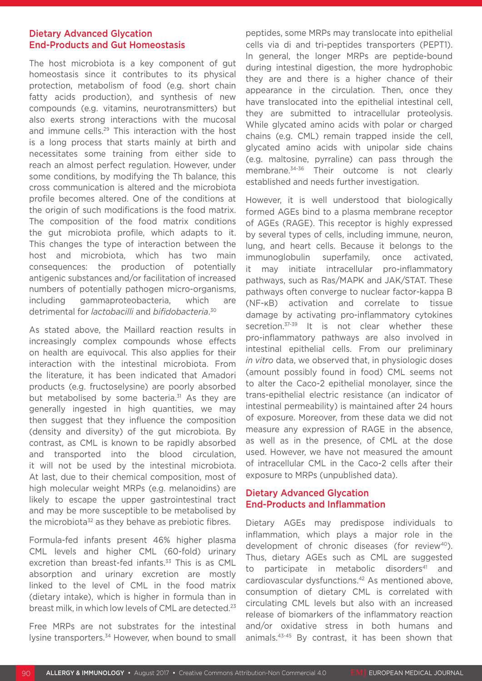### Dietary Advanced Glycation End-Products and Gut Homeostasis

The host microbiota is a key component of gut homeostasis since it contributes to its physical protection, metabolism of food (e.g. short chain fatty acids production), and synthesis of new compounds (e.g. vitamins, neurotransmitters) but also exerts strong interactions with the mucosal and immune cells.29 This interaction with the host is a long process that starts mainly at birth and necessitates some training from either side to reach an almost perfect regulation. However, under some conditions, by modifying the Th balance, this cross communication is altered and the microbiota profile becomes altered. One of the conditions at the origin of such modifications is the food matrix. The composition of the food matrix conditions the gut microbiota profile, which adapts to it. This changes the type of interaction between the host and microbiota, which has two main consequences: the production of potentially antigenic substances and/or facilitation of increased numbers of potentially pathogen micro-organisms, including gammaproteobacteria, which are detrimental for *lactobacilli* and *bifidobacteria*. 30

As stated above, the Maillard reaction results in increasingly complex compounds whose effects on health are equivocal. This also applies for their interaction with the intestinal microbiota. From the literature, it has been indicated that Amadori products (e.g. fructoselysine) are poorly absorbed but metabolised by some bacteria.<sup>31</sup> As they are generally ingested in high quantities, we may then suggest that they influence the composition (density and diversity) of the gut microbiota. By contrast, as CML is known to be rapidly absorbed and transported into the blood circulation, it will not be used by the intestinal microbiota. At last, due to their chemical composition, most of high molecular weight MRPs (e.g. melanoidins) are likely to escape the upper gastrointestinal tract and may be more susceptible to be metabolised by the microbiota<sup>32</sup> as they behave as prebiotic fibres.

Formula-fed infants present 46% higher plasma CML levels and higher CML (60-fold) urinary excretion than breast-fed infants.<sup>33</sup> This is as CML absorption and urinary excretion are mostly linked to the level of CML in the food matrix (dietary intake), which is higher in formula than in breast milk, in which low levels of CML are detected.<sup>23</sup>

Free MRPs are not substrates for the intestinal lysine transporters.34 However, when bound to small peptides, some MRPs may translocate into epithelial cells via di and tri-peptides transporters (PEPT1). In general, the longer MRPs are peptide-bound during intestinal digestion, the more hydrophobic they are and there is a higher chance of their appearance in the circulation. Then, once they have translocated into the epithelial intestinal cell, they are submitted to intracellular proteolysis. While glycated amino acids with polar or charged chains (e.g. CML) remain trapped inside the cell, glycated amino acids with unipolar side chains (e.g. maltosine, pyrraline) can pass through the membrane.34-36 Their outcome is not clearly established and needs further investigation.

However, it is well understood that biologically formed AGEs bind to a plasma membrane receptor of AGEs (RAGE). This receptor is highly expressed by several types of cells, including immune, neuron, lung, and heart cells. Because it belongs to the immunoglobulin superfamily, once activated, it may initiate intracellular pro-inflammatory pathways, such as Ras/MAPK and JAK/STAT. These pathways often converge to nuclear factor-kappa B (NF-κB) activation and correlate to tissue damage by activating pro-inflammatory cytokines secretion.<sup>37-39</sup> It is not clear whether these pro-inflammatory pathways are also involved in intestinal epithelial cells. From our preliminary *in vitro* data, we observed that, in physiologic doses (amount possibly found in food) CML seems not to alter the Caco-2 epithelial monolayer, since the trans-epithelial electric resistance (an indicator of intestinal permeability) is maintained after 24 hours of exposure. Moreover, from these data we did not measure any expression of RAGE in the absence, as well as in the presence, of CML at the dose used. However, we have not measured the amount of intracellular CML in the Caco-2 cells after their exposure to MRPs (unpublished data).

### Dietary Advanced Glycation End-Products and Inflammation

Dietary AGEs may predispose individuals to inflammation, which plays a major role in the development of chronic diseases (for review<sup>40</sup>). Thus, dietary AGEs such as CML are suggested to participate in metabolic disorders<sup>41</sup> and cardiovascular dysfunctions.42 As mentioned above, consumption of dietary CML is correlated with circulating CML levels but also with an increased release of biomarkers of the inflammatory reaction and/or oxidative stress in both humans and animals.43-45 By contrast, it has been shown that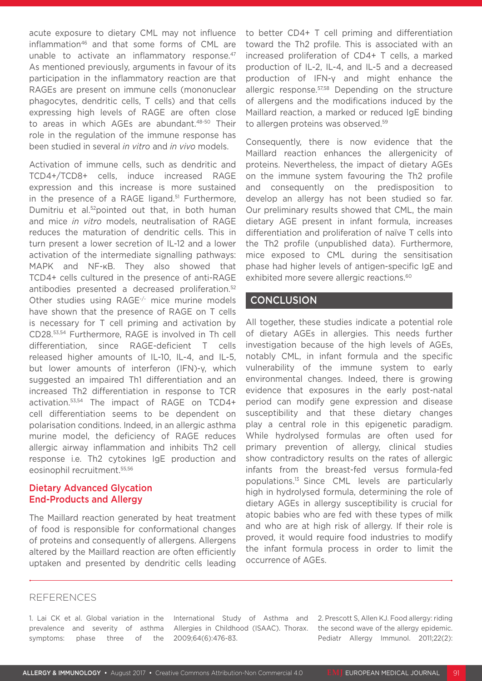acute exposure to dietary CML may not influence inflammation<sup>46</sup> and that some forms of CML are unable to activate an inflammatory response.<sup>47</sup> As mentioned previously, arguments in favour of its participation in the inflammatory reaction are that RAGEs are present on immune cells (mononuclear phagocytes, dendritic cells, T cells) and that cells expressing high levels of RAGE are often close to areas in which AGEs are abundant.<sup>48-50</sup> Their role in the regulation of the immune response has been studied in several *in vitro* and *in vivo* models.

Activation of immune cells, such as dendritic and TCD4+/TCD8+ cells, induce increased RAGE expression and this increase is more sustained in the presence of a RAGE ligand.<sup>51</sup> Furthermore, Dumitriu et al.52pointed out that, in both human and mice *in vitro* models, neutralisation of RAGE reduces the maturation of dendritic cells. This in turn present a lower secretion of IL-12 and a lower activation of the intermediate signalling pathways: MAPK and NF-κB. They also showed that TCD4+ cells cultured in the presence of anti-RAGE antibodies presented a decreased proliferation.<sup>52</sup> Other studies using RAGE-/- mice murine models have shown that the presence of RAGE on T cells is necessary for T cell priming and activation by CD28.53,54 Furthermore, RAGE is involved in Th cell differentiation, since RAGE-deficient T cells released higher amounts of IL-10, IL-4, and IL-5, but lower amounts of interferon (IFN)-γ, which suggested an impaired Th1 differentiation and an increased Th2 differentiation in response to TCR activation.53,54 The impact of RAGE on TCD4+ cell differentiation seems to be dependent on polarisation conditions. Indeed, in an allergic asthma murine model, the deficiency of RAGE reduces allergic airway inflammation and inhibits Th2 cell response i.e. Th2 cytokines IgE production and eosinophil recruitment.55,56

### Dietary Advanced Glycation End-Products and Allergy

The Maillard reaction generated by heat treatment of food is responsible for conformational changes of proteins and consequently of allergens. Allergens altered by the Maillard reaction are often efficiently uptaken and presented by dendritic cells leading to better CD4+ T cell priming and differentiation toward the Th2 profile. This is associated with an increased proliferation of CD4+ T cells, a marked production of IL-2, IL-4, and IL-5 and a decreased production of IFN-γ and might enhance the allergic response.57,58 Depending on the structure of allergens and the modifications induced by the Maillard reaction, a marked or reduced IgE binding to allergen proteins was observed.<sup>59</sup>

Consequently, there is now evidence that the Maillard reaction enhances the allergenicity of proteins. Nevertheless, the impact of dietary AGEs on the immune system favouring the Th2 profile and consequently on the predisposition to develop an allergy has not been studied so far. Our preliminary results showed that CML, the main dietary AGE present in infant formula, increases differentiation and proliferation of naïve T cells into the Th2 profile (unpublished data). Furthermore, mice exposed to CML during the sensitisation phase had higher levels of antigen-specific IgE and exhibited more severe allergic reactions.<sup>60</sup>

# **CONCLUSION**

All together, these studies indicate a potential role of dietary AGEs in allergies. This needs further investigation because of the high levels of AGEs, notably CML, in infant formula and the specific vulnerability of the immune system to early environmental changes. Indeed, there is growing evidence that exposures in the early post-natal period can modify gene expression and disease susceptibility and that these dietary changes play a central role in this epigenetic paradigm. While hydrolysed formulas are often used for primary prevention of allergy, clinical studies show contradictory results on the rates of allergic infants from the breast-fed versus formula-fed populations.13 Since CML levels are particularly high in hydrolysed formula, determining the role of dietary AGEs in allergy susceptibility is crucial for atopic babies who are fed with these types of milk and who are at high risk of allergy. If their role is proved, it would require food industries to modify the infant formula process in order to limit the occurrence of AGEs.

### REFERENCES

1. Lai CK et al. Global variation in the prevalence and severity of asthma symptoms: phase three of the International Study of Asthma and Allergies in Childhood (ISAAC). Thorax. 2009;64(6):476-83.

2. Prescott S, Allen KJ. Food allergy: riding the second wave of the allergy epidemic. Pediatr Allergy Immunol. 2011;22(2):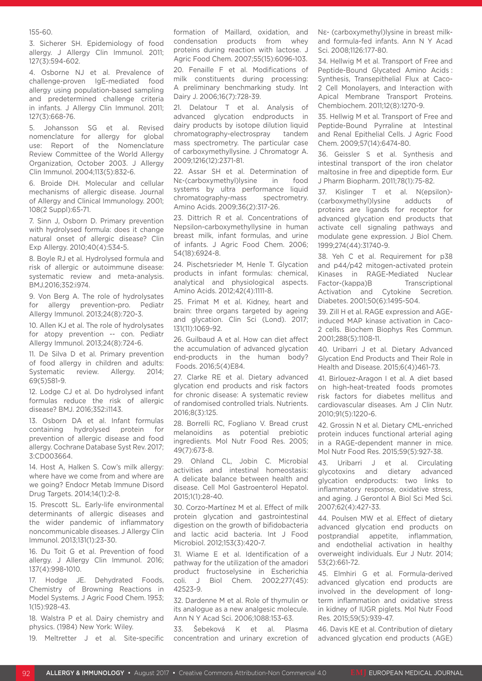#### 155-60.

3. Sicherer SH. Epidemiology of food allergy. J Allergy Clin Immunol. 2011; 127(3):594-602.

4. Osborne NJ et al. Prevalence of challenge-proven IgE-mediated food allergy using population-based sampling and predetermined challenge criteria in infants. J Allergy Clin Immunol. 2011; 127(3):668-76.

5. Johansson SG et al. Revised nomenclature for allergy for global use: Report of the Nomenclature Review Committee of the World Allergy Organization, October 2003. J Allergy Clin Immunol. 2004;113(5):832-6.

6. Broide DH. Molecular and cellular mechanisms of allergic disease. Journal of Allergy and Clinical Immunology. 2001; 108(2 Suppl):65-71.

7. Sinn J, Osborn D. Primary prevention with hydrolysed formula: does it change natural onset of allergic disease? Clin Exp Allergy. 2010;40(4):534-5.

8. Boyle RJ et al. Hydrolysed formula and risk of allergic or autoimmune disease: systematic review and meta-analysis. BMJ.2016;352:i974.

9. Von Berg A. The role of hydrolysates for allergy prevention-pro. Pediatr Allergy Immunol. 2013;24(8):720-3.

10. Allen KJ et al. The role of hydrolysates for atopy prevention -- con. Pediatr Allergy Immunol. 2013;24(8):724-6.

11. De Silva D et al. Primary prevention of food allergy in children and adults: Systematic review. Allergy. 2014; 69(5)581-9.

12. Lodge CJ et al. Do hydrolysed infant formulas reduce the risk of allergic disease? BMJ. 2016;352:i1143.

13. Osborn DA et al. Infant formulas containing hydrolysed protein for prevention of allergic disease and food allergy. Cochrane Database Syst Rev. 2017; 3:CD003664.

14. Host A, Halken S. Cow's milk allergy: where have we come from and where are we going? Endocr Metab Immune Disord Drug Targets. 2014;14(1):2-8.

15. Prescott SL. Early-life environmental determinants of allergic diseases and the wider pandemic of inflammatory noncommunicable diseases. J Allergy Clin Immunol. 2013;131(1):23-30.

16. Du Toit G et al. Prevention of food allergy. J Allergy Clin Immunol. 2016; 137(4):998-1010.

17. Hodge JE. Dehydrated Foods, Chemistry of Browning Reactions in Model Systems. J Agric Food Chem. 1953; 1(15):928-43.

18. Walstra P et al. Dairy chemistry and physics. (1984) New York: Wiley.

19. Meltretter J et al. Site-specific

formation of Maillard, oxidation, and condensation products from whey proteins during reaction with lactose. J Agric Food Chem. 2007;55(15):6096-103.

20. Fenaille F et al. Modifications of milk constituents during processing: A preliminary benchmarking study. Int Dairy J. 2006;16(7):728-39.

21. Delatour T et al. Analysis of advanced glycation endproducts in dairy products by isotope dilution liquid chromatography-electrospray tandem mass spectrometry. The particular case of carboxymethyllysine. J Chromatogr A. 2009;1216(12):2371-81.

22. Assar SH et al. Determination of Nε-(carboxymethyl)lysine in food systems by ultra performance liquid chromatography-mass spectrometry. Amino Acids. 2009;36(2):317-26.

23. Dittrich R et al. Concentrations of Nepsilon-carboxymethyllysine in human breast milk, infant formulas, and urine of infants. J Agric Food Chem. 2006; 54(18):6924-8.

24. Pischetsrieder M, Henle T. Glycation products in infant formulas: chemical, analytical and physiological aspects. Amino Acids. 2012;42(4):1111-8.

25. Frimat M et al. Kidney, heart and brain: three organs targeted by ageing and glycation. Clin Sci (Lond). 2017; 131(11):1069-92.

26. Guilbaud A et al. How can diet affect the accumulation of advanced glycation end-products in the human body? Foods. 2016;5(4)E84.

27. Clarke RE et al. Dietary advanced glycation end products and risk factors for chronic disease: A systematic review of randomised controlled trials. Nutrients. 2016;8(3):125.

28. Borrelli RC, Fogliano V. Bread crust melanoidins as potential prebiotic ingredients. Mol Nutr Food Res. 2005; 49(7):673-8.

29. Ohland CL, Jobin C. Microbial activities and intestinal homeostasis: A delicate balance between health and disease. Cell Mol Gastroenterol Hepatol. 2015;1(1):28-40.

30. Corzo-Martínez M et al. Effect of milk protein glycation and gastrointestinal digestion on the growth of bifidobacteria and lactic acid bacteria. Int J Food Microbiol. 2012;153(3):420-7.

31. Wiame E et al. Identification of a pathway for the utilization of the amadori product fructoselysine in Escherichia coli. J Biol Chem. 2002;277(45): 42523-9.

32. Dardenne M et al. Role of thymulin or its analogue as a new analgesic molecule. Ann N Y Acad Sci. 2006;1088:153-63.

33. Šebeková K et al. Plasma concentration and urinary excretion of Nε- (carboxymethyl)lysine in breast milkand formula-fed infants. Ann N Y Acad Sci. 2008;1126:177-80.

34. Hellwig M et al. Transport of Free and Peptide-Bound Glycated Amino Acids : Synthesis, Transepithelial Flux at Caco-2 Cell Monolayers, and Interaction with Apical Membrane Transport Proteins. Chembiochem. 2011;12(8):1270-9.

35. Hellwig M et al. Transport of Free and Peptide-Bound Pyrraline at Intestinal and Renal Epithelial Cells. J Agric Food Chem. 2009;57(14):6474-80.

36. Geissler S et al. Synthesis and intestinal transport of the iron chelator maltosine in free and dipeptide form. Eur J Pharm Biopharm. 2011;78(1):75-82.

37. Kislinger T et al. N(epsilon)- (carboxymethyl)lysine adducts of proteins are ligands for receptor for advanced glycation end products that activate cell signaling pathways and modulate gene expression. J Biol Chem. 1999;274(44):31740-9.

38. Yeh C et al. Requirement for p38 and p44/p42 mitogen-activated protein Kinases in RAGE-Mediated Nuclear Factor-(kappa)B Transcriptional Activation and Cytokine Secretion. Diabetes. 2001;50(6):1495-504.

39. Zill H et al. RAGE expression and AGEinduced MAP kinase activation in Caco-2 cells. Biochem Biophys Res Commun. 2001;288(5):1108-11.

40. Uribarri J et al. Dietary Advanced Glycation End Products and Their Role in Health and Disease. 2015;6(4))461-73.

41. Birlouez-Aragon I et al. A diet based on high-heat-treated foods promotes risk factors for diabetes mellitus and cardiovascular diseases. Am J Clin Nutr. 2010;91(5):1220-6.

42. Grossin N et al. Dietary CML-enriched protein induces functional arterial aging in a RAGE-dependent manner in mice. Mol Nutr Food Res. 2015;59(5):927-38.

43. Uribarri J et al. Circulating glycotoxins and dietary advanced glycation endproducts: two links to inflammatory response, oxidative stress, and aging. J Gerontol A Biol Sci Med Sci. 2007;62(4):427-33.

44. Poulsen MW et al. Effect of dietary advanced glycation end products on postprandial appetite, inflammation, and endothelial activation in healthy overweight individuals. Eur J Nutr. 2014; 53(2):661-72.

45. Elmhiri G et al. Formula-derived advanced glycation end products are involved in the development of longterm inflammation and oxidative stress in kidney of IUGR piglets. Mol Nutr Food Res. 2015;59(5):939-47.

46. Davis KE et al. Contribution of dietary advanced glycation end products (AGE)